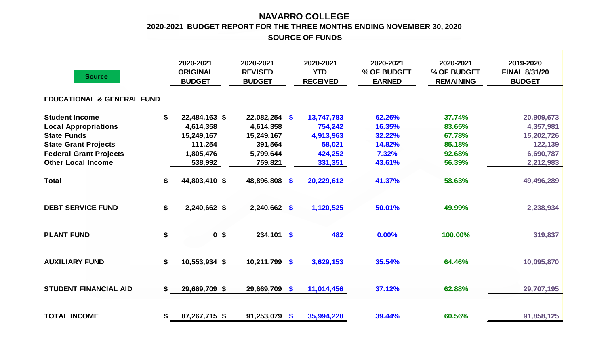## **NAVARRO COLLEGE SOURCE OF FUNDS 2020-2021 BUDGET REPORT FOR THE THREE MONTHS ENDING NOVEMBER 30, 2020**

| <b>Source</b>                                                                                                                              | 2020-2021<br><b>ORIGINAL</b><br><b>BUDGET</b>                          | 2020-2021<br><b>REVISED</b><br><b>BUDGET</b>                       |      | 2020-2021<br><b>YTD</b><br><b>RECEIVED</b>              | 2020-2021<br>% OF BUDGET<br><b>EARNED</b>     | 2020-2021<br>% OF BUDGET<br><b>REMAINING</b>   | 2019-2020<br><b>FINAL 8/31/20</b><br><b>BUDGET</b>            |
|--------------------------------------------------------------------------------------------------------------------------------------------|------------------------------------------------------------------------|--------------------------------------------------------------------|------|---------------------------------------------------------|-----------------------------------------------|------------------------------------------------|---------------------------------------------------------------|
| <b>EDUCATIONAL &amp; GENERAL FUND</b>                                                                                                      |                                                                        |                                                                    |      |                                                         |                                               |                                                |                                                               |
| <b>Student Income</b><br><b>Local Appropriations</b><br><b>State Funds</b><br><b>State Grant Projects</b><br><b>Federal Grant Projects</b> | \$<br>22,484,163 \$<br>4,614,358<br>15,249,167<br>111,254<br>1,805,476 | $22,082,254$ \$<br>4,614,358<br>15,249,167<br>391,564<br>5,799,644 |      | 13,747,783<br>754,242<br>4,913,963<br>58,021<br>424,252 | 62.26%<br>16.35%<br>32.22%<br>14.82%<br>7.32% | 37.74%<br>83.65%<br>67.78%<br>85.18%<br>92.68% | 20,909,673<br>4,357,981<br>15,202,726<br>122,139<br>6,690,787 |
| <b>Other Local Income</b>                                                                                                                  | 538,992                                                                | 759,821                                                            |      | 331,351                                                 | 43.61%                                        | 56.39%                                         | 2,212,983                                                     |
| <b>Total</b>                                                                                                                               | \$<br>44,803,410 \$                                                    | 48,896,808 \$                                                      |      | 20,229,612                                              | 41.37%                                        | 58.63%                                         | 49,496,289                                                    |
| <b>DEBT SERVICE FUND</b>                                                                                                                   | \$<br>2,240,662 \$                                                     | $2,240,662$ \$                                                     |      | 1,120,525                                               | 50.01%                                        | 49.99%                                         | 2,238,934                                                     |
| <b>PLANT FUND</b>                                                                                                                          | \$<br>0 <sup>5</sup>                                                   | $234,101$ \$                                                       |      | 482                                                     | 0.00%                                         | 100.00%                                        | 319,837                                                       |
| <b>AUXILIARY FUND</b>                                                                                                                      | \$<br>10,553,934 \$                                                    | 10,211,799 \$                                                      |      | 3,629,153                                               | 35.54%                                        | 64.46%                                         | 10,095,870                                                    |
| <b>STUDENT FINANCIAL AID</b>                                                                                                               | \$<br>29,669,709 \$                                                    | 29,669,709 \$                                                      |      | 11,014,456                                              | 37.12%                                        | 62.88%                                         | 29,707,195                                                    |
| <b>TOTAL INCOME</b>                                                                                                                        | \$<br>87,267,715 \$                                                    | 91,253,079                                                         | - \$ | 35,994,228                                              | 39.44%                                        | 60.56%                                         | 91,858,125                                                    |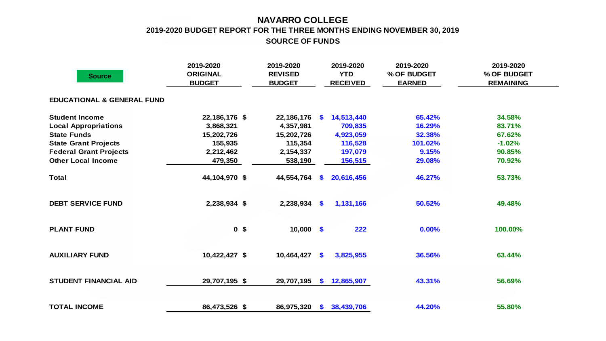## **NAVARRO COLLEGE 2019-2020 BUDGET REPORT FOR THE THREE MONTHS ENDING NOVEMBER 30, 2019 SOURCE OF FUNDS**

| <b>Source</b>                         | 2019-2020<br><b>ORIGINAL</b><br><b>BUDGET</b> | 2019-2020<br><b>REVISED</b><br><b>BUDGET</b> |               | 2019-2020<br><b>YTD</b><br><b>RECEIVED</b> | 2019-2020<br>% OF BUDGET<br><b>EARNED</b> | 2019-2020<br>% OF BUDGET<br><b>REMAINING</b> |
|---------------------------------------|-----------------------------------------------|----------------------------------------------|---------------|--------------------------------------------|-------------------------------------------|----------------------------------------------|
| <b>EDUCATIONAL &amp; GENERAL FUND</b> |                                               |                                              |               |                                            |                                           |                                              |
| <b>Student Income</b>                 | 22,186,176 \$                                 | 22,186,176                                   | <b>S</b>      | 14,513,440                                 | 65.42%                                    | 34.58%                                       |
| <b>Local Appropriations</b>           | 3,868,321                                     | 4,357,981                                    |               | 709,835                                    | 16.29%                                    | 83.71%                                       |
| <b>State Funds</b>                    | 15,202,726                                    | 15,202,726                                   |               | 4,923,059                                  | 32.38%                                    | 67.62%                                       |
| <b>State Grant Projects</b>           | 155,935                                       | 115,354                                      |               | 116,528                                    | 101.02%                                   | $-1.02%$                                     |
| <b>Federal Grant Projects</b>         | 2,212,462                                     | 2,154,337                                    |               | 197,079                                    | 9.15%                                     | 90.85%                                       |
| <b>Other Local Income</b>             | 479,350                                       | 538,190                                      |               | 156,515                                    | 29.08%                                    | 70.92%                                       |
| <b>Total</b>                          | 44,104,970 \$                                 | 44,554,764                                   | S.            | 20,616,456                                 | 46.27%                                    | 53.73%                                       |
| <b>DEBT SERVICE FUND</b>              | 2,238,934 \$                                  | 2,238,934                                    | $\mathbf{\$}$ | 1,131,166                                  | 50.52%                                    | 49.48%                                       |
| <b>PLANT FUND</b>                     | 0 <sup>5</sup>                                | $10,000$ \$                                  |               | 222                                        | 0.00%                                     | 100.00%                                      |
| <b>AUXILIARY FUND</b>                 | 10,422,427 \$                                 | 10,464,427                                   | \$            | 3,825,955                                  | 36.56%                                    | 63.44%                                       |
| <b>STUDENT FINANCIAL AID</b>          | 29,707,195 \$                                 | 29,707,195                                   | $\mathbf{s}$  | 12,865,907                                 | 43.31%                                    | 56.69%                                       |
| <b>TOTAL INCOME</b>                   | 86,473,526 \$                                 | 86,975,320                                   |               | \$38,439,706                               | 44.20%                                    | 55.80%                                       |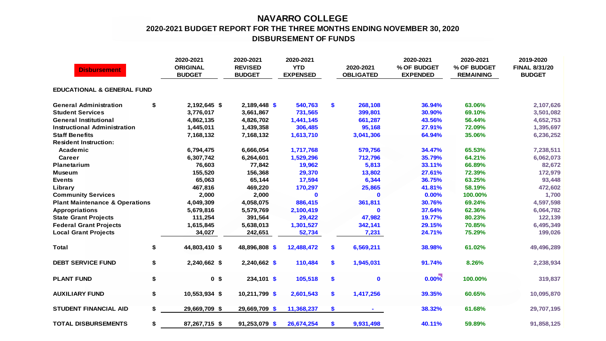## **NAVARRO COLLEGE 2020-2021 BUDGET REPORT FOR THE THREE MONTHS ENDING NOVEMBER 30, 2020 DISBURSEMENT OF FUNDS**

| <b>Disbursement</b>                       |    | 2020-2021<br><b>ORIGINAL</b><br><b>BUDGET</b> | 2020-2021<br><b>REVISED</b><br><b>BUDGET</b> | 2020-2021<br><b>YTD</b><br><b>EXPENSED</b> |    | 2020-2021<br><b>OBLIGATED</b> | 2020-2021<br>% OF BUDGET<br><b>EXPENDED</b> | 2020-2021<br>% OF BUDGET<br><b>REMAINING</b> | 2019-2020<br><b>FINAL 8/31/20</b><br><b>BUDGET</b> |  |  |  |
|-------------------------------------------|----|-----------------------------------------------|----------------------------------------------|--------------------------------------------|----|-------------------------------|---------------------------------------------|----------------------------------------------|----------------------------------------------------|--|--|--|
| <b>EDUCATIONAL &amp; GENERAL FUND</b>     |    |                                               |                                              |                                            |    |                               |                                             |                                              |                                                    |  |  |  |
| <b>General Administration</b>             | \$ | 2,192,645 \$                                  | 2,189,448 \$                                 | 540,763                                    | \$ | 268,108                       | 36.94%                                      | 63.06%                                       | 2,107,626                                          |  |  |  |
| <b>Student Services</b>                   |    | 3,776,017                                     | 3,661,867                                    | 731,565                                    |    | 399,801                       | 30.90%                                      | 69.10%                                       | 3,501,082                                          |  |  |  |
| <b>General Institutional</b>              |    | 4,862,135                                     | 4,826,702                                    | 1,441,145                                  |    | 661,287                       | 43.56%                                      | 56.44%                                       | 4,652,753                                          |  |  |  |
| <b>Instructional Administration</b>       |    | 1,445,011                                     | 1,439,358                                    | 306,485                                    |    | 95,168                        | 27.91%                                      | 72.09%                                       | 1,395,697                                          |  |  |  |
| <b>Staff Benefits</b>                     |    | 7,168,132                                     | 7,168,132                                    | 1,613,710                                  |    | 3,041,306                     | 64.94%                                      | 35.06%                                       | 6,236,252                                          |  |  |  |
| <b>Resident Instruction:</b>              |    |                                               |                                              |                                            |    |                               |                                             |                                              |                                                    |  |  |  |
| Academic                                  |    | 6,794,475                                     | 6,666,054                                    | 1,717,768                                  |    | 579,756                       | 34.47%                                      | 65.53%                                       | 7,238,511                                          |  |  |  |
| <b>Career</b>                             |    | 6,307,742                                     | 6,264,601                                    | 1,529,296                                  |    | 712,796                       | 35.79%                                      | 64.21%                                       | 6,062,073                                          |  |  |  |
| <b>Planetarium</b>                        |    | 76,603                                        | 77,842                                       | 19,962                                     |    | 5,813                         | 33.11%                                      | 66.89%                                       | 82,672                                             |  |  |  |
| Museum                                    |    | 155,520                                       | 156,368                                      | 29,370                                     |    | 13,802                        | 27.61%                                      | 72.39%                                       | 172,979                                            |  |  |  |
| <b>Events</b>                             |    | 65,063                                        | 65,144                                       | 17,594                                     |    | 6,344                         | 36.75%                                      | 63.25%                                       | 93,448                                             |  |  |  |
| Library                                   |    | 467,816                                       | 469,220                                      | 170,297                                    |    | 25,865                        | 41.81%                                      | 58.19%                                       | 472,602                                            |  |  |  |
| <b>Community Services</b>                 |    | 2,000                                         | 2,000                                        | $\bf{0}$                                   |    | $\mathbf 0$                   | 0.00%                                       | 100.00%                                      | 1,700                                              |  |  |  |
| <b>Plant Maintenance &amp; Operations</b> |    | 4,049,309                                     | 4,058,075                                    | 886,415                                    |    | 361,811                       | 30.76%                                      | 69.24%                                       | 4,597,598                                          |  |  |  |
| <b>Appropriations</b>                     |    | 5,679,816                                     | 5,579,769                                    | 2,100,419                                  |    | $\mathbf 0$                   | 37.64%                                      | 62.36%                                       | 6,064,782                                          |  |  |  |
| <b>State Grant Projects</b>               |    | 111,254                                       | 391,564                                      | 29,422                                     |    | 47,982                        | 19.77%                                      | 80.23%                                       | 122,139                                            |  |  |  |
| <b>Federal Grant Projects</b>             |    | 1,615,845                                     | 5,638,013                                    | 1,301,527                                  |    | 342,141                       | 29.15%                                      | 70.85%                                       | 6,495,349                                          |  |  |  |
| <b>Local Grant Projects</b>               |    | 34,027                                        | 242,651                                      | 52,734                                     |    | 7,231                         | 24.71%                                      | 75.29%                                       | 199,026                                            |  |  |  |
| <b>Total</b>                              | \$ | 44,803,410 \$                                 | 48,896,808 \$                                | 12,488,472                                 | \$ | 6,569,211                     | 38.98%                                      | 61.02%                                       | 49,496,289                                         |  |  |  |
| <b>DEBT SERVICE FUND</b>                  | \$ | 2,240,662 \$                                  | $2,240,662$ \$                               | 110,484                                    | \$ | 1,945,031                     | 91.74%                                      | 8.26%                                        | 2,238,934                                          |  |  |  |
| <b>PLANT FUND</b>                         | \$ | 0 <sup>5</sup>                                | 234,101 \$                                   | 105,518                                    | \$ | $\mathbf 0$                   | $0.00\%$                                    | 100.00%                                      | 319,837                                            |  |  |  |
| <b>AUXILIARY FUND</b>                     | \$ | 10,553,934 \$                                 | 10,211,799 \$                                | 2,601,543                                  | \$ | 1,417,256                     | 39.35%                                      | 60.65%                                       | 10,095,870                                         |  |  |  |
| <b>STUDENT FINANCIAL AID</b>              | \$ | 29,669,709 \$                                 | 29,669,709 \$                                | 11,368,237                                 | \$ |                               | 38.32%                                      | 61.68%                                       | 29,707,195                                         |  |  |  |
| <b>TOTAL DISBURSEMENTS</b>                | \$ | 87,267,715 \$                                 | 91,253,079 \$                                | 26,674,254                                 | \$ | 9,931,498                     | 40.11%                                      | 59.89%                                       | 91,858,125                                         |  |  |  |